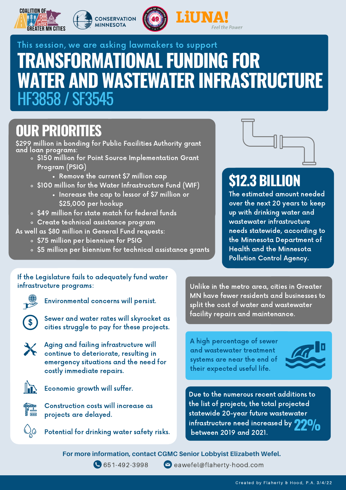







# **TRANSFORMATIONAL FUNDING FOR WATER AND WASTEWATER INFRASTRUCTURE** HF3858 / SF3545 This session, we are asking lawmakers to support

## **OUR PRIORITIES**

\$299 million in bonding for Public Facilities Authority grant and loan programs:

- o \$150 million for Point Source Implementation Grant Program (PSIG)
	- Remove the current \$7 million cap
- . \$100 million for the Water Infrastructure Fund (WIF)
	- Increase the cap to lessor of \$7 million or \$25,000 per hookup
- o \$49 million for state match for federal funds
- Create technical assistance program

As well as \$80 million in General Fund requests:

- o \$75 million per biennium for PSIG
- o \$5 million per biennium for technical assistance grants



# **\$12.3 BILLION**

The estimated amount needed over the next 20 years to keep up with drinking water and wastewater infrastructure needs statewide, according to the Minnesota Department of Health and the Minnesota Pollution Control Agency.

#### If the Legislature fails to adequately fund water infrastructure programs:



Environmental concerns will persist.



Sewer and water rates will skyrocket as cities struggle to pay for these projects.



Aging and failing infrastructure will continue to deteriorate, resulting in emergency situations and the need for costly immediate repairs.



Economic growth will suffer.



Construction costs will increase as projects are delayed.



Potential for drinking water safety risks.

Unlike in the metro area, cities in Greater MN have fewer residents and businesses to split the cost of water and wastewater facility repairs and maintenance.

A high percentage of sewer and wastewater treatment systems are near the end of their expected useful life.



Due to the numerous recent additions to the list of projects, the total projected statewide 20-year future wastewater infrastructure need increased by between <sup>2019</sup> and 2021. **22%**

**For more information, contact CGMC Senior Lobbyist Elizabeth Wefel.**



651-492-3998 eawefel@flaherty-hood.com